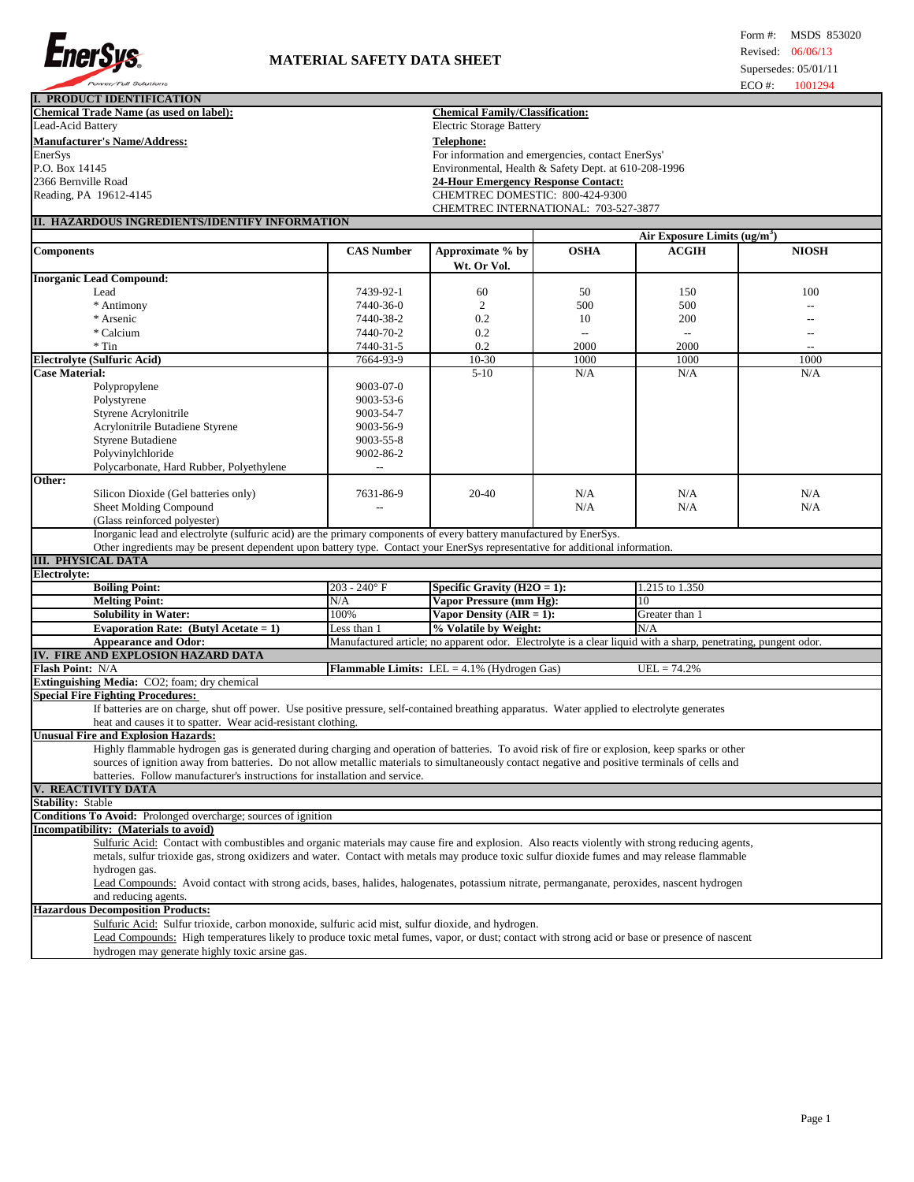

| Power/Full Solutions                                                                                                                            |                                                      |                                                                                                                |                |                                          | $ECO$ #: | 1001294                  |
|-------------------------------------------------------------------------------------------------------------------------------------------------|------------------------------------------------------|----------------------------------------------------------------------------------------------------------------|----------------|------------------------------------------|----------|--------------------------|
| <b>I. PRODUCT IDENTIFICATION</b>                                                                                                                |                                                      |                                                                                                                |                |                                          |          |                          |
| <b>Chemical Trade Name (as used on label):</b>                                                                                                  |                                                      | <b>Chemical Family/Classification:</b>                                                                         |                |                                          |          |                          |
| Lead-Acid Battery                                                                                                                               |                                                      | <b>Electric Storage Battery</b>                                                                                |                |                                          |          |                          |
| <b>Manufacturer's Name/Address:</b>                                                                                                             |                                                      | <b>Telephone:</b>                                                                                              |                |                                          |          |                          |
| EnerSys                                                                                                                                         |                                                      | For information and emergencies, contact EnerSys'                                                              |                |                                          |          |                          |
| P.O. Box 14145                                                                                                                                  | Environmental, Health & Safety Dept. at 610-208-1996 |                                                                                                                |                |                                          |          |                          |
| 2366 Bernville Road                                                                                                                             |                                                      | <b>24-Hour Emergency Response Contact:</b>                                                                     |                |                                          |          |                          |
| Reading, PA 19612-4145                                                                                                                          |                                                      | CHEMTREC DOMESTIC: 800-424-9300                                                                                |                |                                          |          |                          |
|                                                                                                                                                 |                                                      | CHEMTREC INTERNATIONAL: 703-527-3877                                                                           |                |                                          |          |                          |
| II. HAZARDOUS INGREDIENTS/IDENTIFY INFORMATION                                                                                                  |                                                      |                                                                                                                |                |                                          |          |                          |
|                                                                                                                                                 |                                                      |                                                                                                                |                | Air Exposure Limits (ug/m <sup>3</sup> ) |          |                          |
| <b>Components</b>                                                                                                                               | <b>CAS Number</b>                                    | Approximate % by                                                                                               | <b>OSHA</b>    | <b>ACGIH</b>                             |          | <b>NIOSH</b>             |
|                                                                                                                                                 |                                                      |                                                                                                                |                |                                          |          |                          |
|                                                                                                                                                 |                                                      | Wt. Or Vol.                                                                                                    |                |                                          |          |                          |
| <b>Inorganic Lead Compound:</b>                                                                                                                 |                                                      |                                                                                                                |                |                                          |          |                          |
| Lead                                                                                                                                            | 7439-92-1                                            | 60                                                                                                             | 50             | 150                                      |          | 100                      |
| * Antimony                                                                                                                                      | 7440-36-0                                            | $\overline{2}$                                                                                                 | 500            | 500                                      |          | $\overline{a}$           |
| * Arsenic                                                                                                                                       | 7440-38-2                                            | 0.2                                                                                                            | 10             | 200                                      |          | $\overline{\phantom{0}}$ |
| * Calcium                                                                                                                                       | 7440-70-2                                            | 0.2                                                                                                            | $\overline{a}$ | $\overline{a}$                           |          | $\overline{a}$           |
| $*$ Tin                                                                                                                                         | 7440-31-5                                            | 0.2                                                                                                            | 2000           | 2000                                     |          | $\overline{a}$           |
| <b>Electrolyte (Sulfuric Acid)</b>                                                                                                              | 7664-93-9                                            | $\overline{10} - 30$                                                                                           | 1000           | 1000                                     |          | 1000                     |
| <b>Case Material:</b>                                                                                                                           |                                                      | $5-10$                                                                                                         | N/A            | N/A                                      |          | N/A                      |
| Polypropylene                                                                                                                                   | 9003-07-0                                            |                                                                                                                |                |                                          |          |                          |
| Polystyrene                                                                                                                                     | 9003-53-6                                            |                                                                                                                |                |                                          |          |                          |
| Styrene Acrylonitrile                                                                                                                           | 9003-54-7                                            |                                                                                                                |                |                                          |          |                          |
| Acrylonitrile Butadiene Styrene                                                                                                                 | 9003-56-9                                            |                                                                                                                |                |                                          |          |                          |
| <b>Styrene Butadiene</b>                                                                                                                        | 9003-55-8                                            |                                                                                                                |                |                                          |          |                          |
| Polyvinylchloride                                                                                                                               | 9002-86-2                                            |                                                                                                                |                |                                          |          |                          |
| Polycarbonate, Hard Rubber, Polyethylene                                                                                                        | $\overline{\phantom{a}}$                             |                                                                                                                |                |                                          |          |                          |
| Other:                                                                                                                                          |                                                      |                                                                                                                |                |                                          |          |                          |
| Silicon Dioxide (Gel batteries only)                                                                                                            | 7631-86-9                                            | $20 - 40$                                                                                                      | N/A            | N/A                                      |          | N/A                      |
| Sheet Molding Compound                                                                                                                          |                                                      |                                                                                                                | N/A            | N/A                                      |          | N/A                      |
| (Glass reinforced polyester)                                                                                                                    |                                                      |                                                                                                                |                |                                          |          |                          |
| Inorganic lead and electrolyte (sulfuric acid) are the primary components of every battery manufactured by EnerSys.                             |                                                      |                                                                                                                |                |                                          |          |                          |
| Other ingredients may be present dependent upon battery type. Contact your EnerSys representative for additional information.                   |                                                      |                                                                                                                |                |                                          |          |                          |
| III. PHYSICAL DATA                                                                                                                              |                                                      |                                                                                                                |                |                                          |          |                          |
| Electrolyte:                                                                                                                                    |                                                      |                                                                                                                |                |                                          |          |                          |
| <b>Boiling Point:</b>                                                                                                                           | $203 - 240^{\circ}$ F                                | Specific Gravity $(H2O = 1)$ :                                                                                 |                | 1.215 to 1.350                           |          |                          |
| <b>Melting Point:</b>                                                                                                                           | N/A                                                  | Vapor Pressure (mm Hg):                                                                                        |                | 10                                       |          |                          |
| <b>Solubility in Water:</b>                                                                                                                     | 100%                                                 | Vapor Density $(AIR = 1)$ :                                                                                    |                | Greater than 1                           |          |                          |
| Evaporation Rate: (Butyl Acetate = $1$ )                                                                                                        | Less than 1                                          | % Volatile by Weight:                                                                                          |                | N/A                                      |          |                          |
| <b>Appearance and Odor:</b>                                                                                                                     |                                                      | Manufactured article; no apparent odor. Electrolyte is a clear liquid with a sharp, penetrating, pungent odor. |                |                                          |          |                          |
| IV. FIRE AND EXPLOSION HAZARD DATA                                                                                                              |                                                      |                                                                                                                |                |                                          |          |                          |
| Flash Point: N/A                                                                                                                                |                                                      | <b>Flammable Limits:</b> LEL = $4.1\%$ (Hydrogen Gas)                                                          |                | $UEL = 74.2%$                            |          |                          |
| Extinguishing Media: CO2; foam; dry chemical                                                                                                    |                                                      |                                                                                                                |                |                                          |          |                          |
| <b>Special Fire Fighting Procedures:</b>                                                                                                        |                                                      |                                                                                                                |                |                                          |          |                          |
| If batteries are on charge, shut off power. Use positive pressure, self-contained breathing apparatus. Water applied to electrolyte generates   |                                                      |                                                                                                                |                |                                          |          |                          |
| heat and causes it to spatter. Wear acid-resistant clothing.                                                                                    |                                                      |                                                                                                                |                |                                          |          |                          |
| <b>Unusual Fire and Explosion Hazards:</b>                                                                                                      |                                                      |                                                                                                                |                |                                          |          |                          |
| Highly flammable hydrogen gas is generated during charging and operation of batteries. To avoid risk of fire or explosion, keep sparks or other |                                                      |                                                                                                                |                |                                          |          |                          |
| sources of ignition away from batteries. Do not allow metallic materials to simultaneously contact negative and positive terminals of cells and |                                                      |                                                                                                                |                |                                          |          |                          |
| batteries. Follow manufacturer's instructions for installation and service.                                                                     |                                                      |                                                                                                                |                |                                          |          |                          |
|                                                                                                                                                 |                                                      |                                                                                                                |                |                                          |          |                          |

**V. REACTIVITY DATA Stability:** Stable

**Conditions To Avoid:** Prolonged overcharge; sources of ignition

**Incompatibility: (Materials to avoid)** Sulfuric Acid: Contact with combustibles and organic materials may cause fire and explosion. Also reacts violently with strong reducing agents, metals, sulfur trioxide gas, strong oxidizers and water. Contact with metals may produce toxic sulfur dioxide fumes and may release flammable hydrogen gas.

Lead Compounds: Avoid contact with strong acids, bases, halides, halogenates, potassium nitrate, permanganate, peroxides, nascent hydrogen and reducing agents.

**Hazardous Decomposition Products:**

Sulfuric Acid: Sulfur trioxide, carbon monoxide, sulfuric acid mist, sulfur dioxide, and hydrogen.

Lead Compounds: High temperatures likely to produce toxic metal fumes, vapor, or dust; contact with strong acid or base or presence of nascent hydrogen may generate highly toxic arsine gas.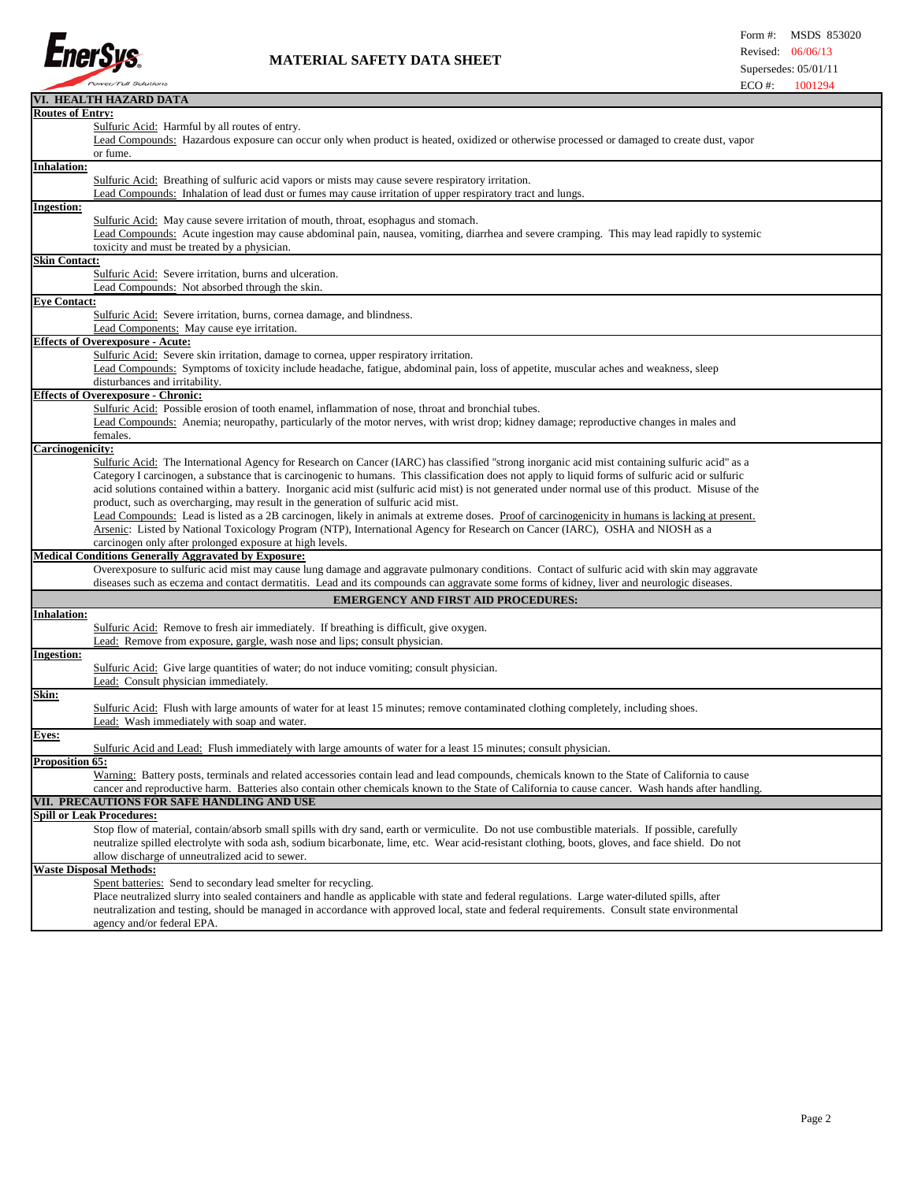

## **MATERIAL SAFETY DATA SHEET**

|                         | VI. HEALTH HAZARD DATA                                                                                                                               |
|-------------------------|------------------------------------------------------------------------------------------------------------------------------------------------------|
| <b>Routes of Entry:</b> |                                                                                                                                                      |
|                         | Sulfuric Acid: Harmful by all routes of entry.                                                                                                       |
|                         | Lead Compounds: Hazardous exposure can occur only when product is heated, oxidized or otherwise processed or damaged to create dust, vapor           |
|                         | or fume.                                                                                                                                             |
| <b>Inhalation:</b>      |                                                                                                                                                      |
|                         | Sulfuric Acid: Breathing of sulfuric acid vapors or mists may cause severe respiratory irritation.                                                   |
|                         | Lead Compounds: Inhalation of lead dust or fumes may cause irritation of upper respiratory tract and lungs.                                          |
| <b>Ingestion:</b>       |                                                                                                                                                      |
|                         | Sulfuric Acid: May cause severe irritation of mouth, throat, esophagus and stomach.                                                                  |
|                         | Lead Compounds: Acute ingestion may cause abdominal pain, nausea, vomiting, diarrhea and severe cramping. This may lead rapidly to systemic          |
|                         | toxicity and must be treated by a physician.                                                                                                         |
| <b>Skin Contact:</b>    |                                                                                                                                                      |
|                         | Sulfuric Acid: Severe irritation, burns and ulceration.                                                                                              |
|                         | Lead Compounds: Not absorbed through the skin.                                                                                                       |
| <b>Eye Contact:</b>     |                                                                                                                                                      |
|                         | <b>Sulfuric Acid:</b> Severe irritation, burns, cornea damage, and blindness.                                                                        |
|                         | Lead Components: May cause eye irritation.                                                                                                           |
|                         | <b>Effects of Overexposure - Acute:</b>                                                                                                              |
|                         | Sulfuric Acid: Severe skin irritation, damage to cornea, upper respiratory irritation.                                                               |
|                         | Lead Compounds: Symptoms of toxicity include headache, fatigue, abdominal pain, loss of appetite, muscular aches and weakness, sleep                 |
|                         | disturbances and irritability.                                                                                                                       |
|                         | <b>Effects of Overexposure - Chronic:</b>                                                                                                            |
|                         | Sulfuric Acid: Possible erosion of tooth enamel, inflammation of nose, throat and bronchial tubes.                                                   |
|                         | Lead Compounds: Anemia; neuropathy, particularly of the motor nerves, with wrist drop; kidney damage; reproductive changes in males and              |
|                         | females.                                                                                                                                             |
| Carcinogenicity:        |                                                                                                                                                      |
|                         | Sulfuric Acid: The International Agency for Research on Cancer (IARC) has classified "strong inorganic acid mist containing sulfuric acid" as a      |
|                         | Category I carcinogen, a substance that is carcinogenic to humans. This classification does not apply to liquid forms of sulfuric acid or sulfuric   |
|                         | acid solutions contained within a battery. Inorganic acid mist (sulfuric acid mist) is not generated under normal use of this product. Misuse of the |
|                         | product, such as overcharging, may result in the generation of sulfuric acid mist.                                                                   |
|                         | Lead Compounds: Lead is listed as a 2B carcinogen, likely in animals at extreme doses. Proof of carcinogenicity in humans is lacking at present.     |
|                         | Arsenic: Listed by National Toxicology Program (NTP), International Agency for Research on Cancer (IARC), OSHA and NIOSH as a                        |
|                         | carcinogen only after prolonged exposure at high levels.                                                                                             |
|                         | <b>Medical Conditions Generally Aggravated by Exposure:</b>                                                                                          |
|                         | Overexposure to sulfuric acid mist may cause lung damage and aggravate pulmonary conditions. Contact of sulfuric acid with skin may aggravate        |
|                         | diseases such as eczema and contact dermatitis. Lead and its compounds can aggravate some forms of kidney, liver and neurologic diseases.            |
|                         | <b>EMERGENCY AND FIRST AID PROCEDURES:</b>                                                                                                           |
| <b>Inhalation:</b>      |                                                                                                                                                      |
|                         | Sulfuric Acid: Remove to fresh air immediately. If breathing is difficult, give oxygen.                                                              |
|                         | Lead: Remove from exposure, gargle, wash nose and lips; consult physician.                                                                           |
| <b>Ingestion:</b>       |                                                                                                                                                      |
|                         | Sulfuric Acid: Give large quantities of water; do not induce vomiting; consult physician.                                                            |
|                         | Lead: Consult physician immediately.                                                                                                                 |
| Skin:                   |                                                                                                                                                      |
|                         | Sulfuric Acid: Flush with large amounts of water for at least 15 minutes; remove contaminated clothing completely, including shoes.                  |
|                         | Lead: Wash immediately with soap and water.                                                                                                          |
| Eyes:                   |                                                                                                                                                      |
|                         | Sulfuric Acid and Lead: Flush immediately with large amounts of water for a least 15 minutes; consult physician.                                     |
| <u>Proposition 65:</u>  |                                                                                                                                                      |
|                         | Warning: Battery posts, terminals and related accessories contain lead and lead compounds, chemicals known to the State of California to cause       |
|                         | cancer and reproductive harm. Batteries also contain other chemicals known to the State of California to cause cancer. Wash hands after handling     |
|                         | VII. PRECAUTIONS FOR SAFE HANDLING AND USE                                                                                                           |
|                         | <b>Spill or Leak Procedures:</b>                                                                                                                     |
|                         | Stop flow of material, contain/absorb small spills with dry sand, earth or vermiculite. Do not use combustible materials. If possible, carefully     |
|                         | neutralize spilled electrolyte with soda ash, sodium bicarbonate, lime, etc. Wear acid-resistant clothing, boots, gloves, and face shield. Do not    |
|                         | allow discharge of unneutralized acid to sewer.                                                                                                      |
|                         | <b>Waste Disposal Methods:</b>                                                                                                                       |
|                         | Spent batteries: Send to secondary lead smelter for recycling.                                                                                       |
|                         | Place neutralized slurry into sealed containers and handle as applicable with state and federal regulations. Large water-diluted spills, after       |
|                         | neutralization and testing, should be managed in accordance with approved local, state and federal requirements. Consult state environmental         |
|                         | agency and/or federal EPA.                                                                                                                           |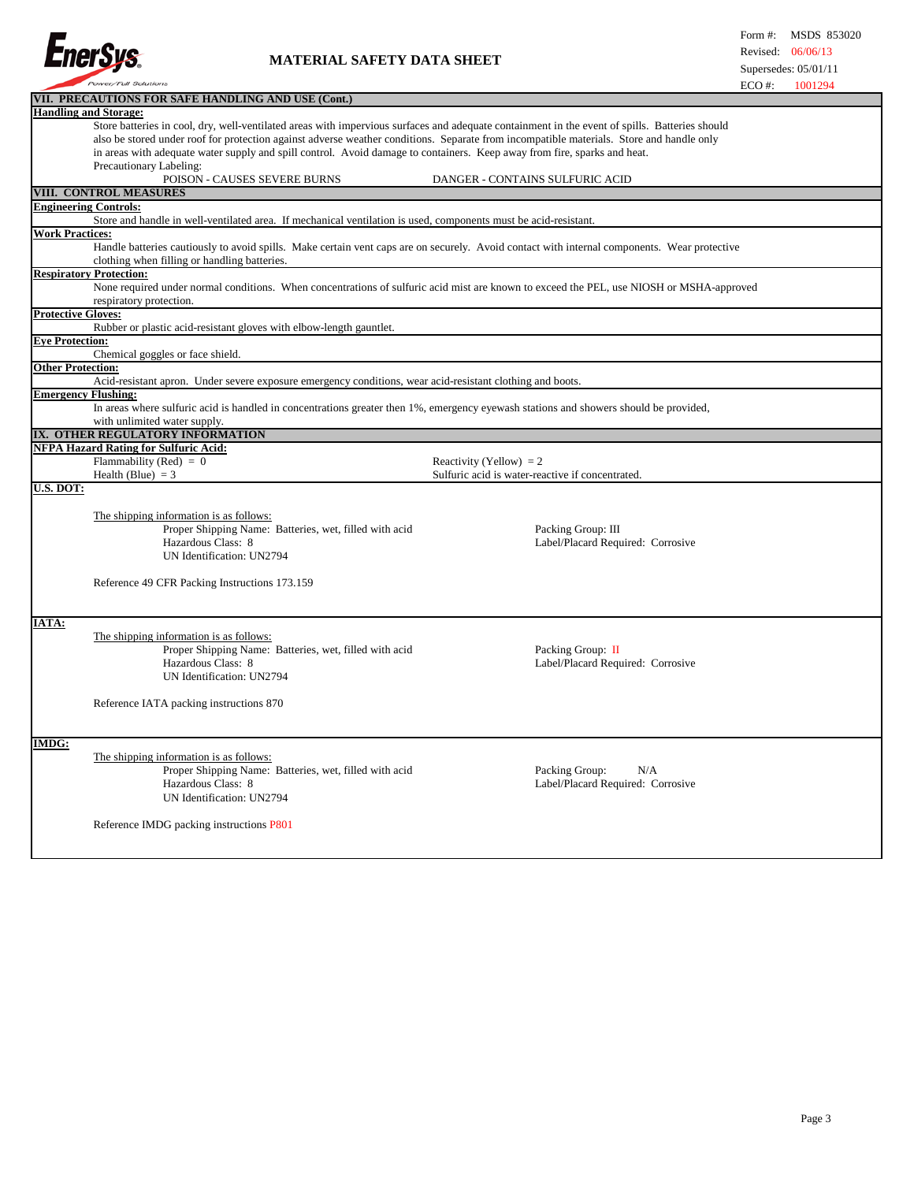

## **MATERIAL SAFETY DATA SHEET**

|                           | VII. PRECAUTIONS FOR SAFE HANDLING AND USE (Cont.)                                                                                             |                                                                                                                                          |  |  |  |  |
|---------------------------|------------------------------------------------------------------------------------------------------------------------------------------------|------------------------------------------------------------------------------------------------------------------------------------------|--|--|--|--|
|                           | <b>Handling and Storage:</b>                                                                                                                   |                                                                                                                                          |  |  |  |  |
|                           | Store batteries in cool, dry, well-ventilated areas with impervious surfaces and adequate containment in the event of spills. Batteries should |                                                                                                                                          |  |  |  |  |
|                           | also be stored under roof for protection against adverse weather conditions. Separate from incompatible materials. Store and handle only       |                                                                                                                                          |  |  |  |  |
|                           | in areas with adequate water supply and spill control. Avoid damage to containers. Keep away from fire, sparks and heat.                       |                                                                                                                                          |  |  |  |  |
|                           | Precautionary Labeling:                                                                                                                        |                                                                                                                                          |  |  |  |  |
|                           | POISON - CAUSES SEVERE BURNS                                                                                                                   | DANGER - CONTAINS SULFURIC ACID                                                                                                          |  |  |  |  |
|                           | <b>VIII. CONTROL MEASURES</b>                                                                                                                  |                                                                                                                                          |  |  |  |  |
|                           | <b>Engineering Controls:</b>                                                                                                                   |                                                                                                                                          |  |  |  |  |
|                           | Store and handle in well-ventilated area. If mechanical ventilation is used, components must be acid-resistant.                                |                                                                                                                                          |  |  |  |  |
| <b>Work Practices:</b>    |                                                                                                                                                |                                                                                                                                          |  |  |  |  |
|                           | Handle batteries cautiously to avoid spills. Make certain vent caps are on securely. Avoid contact with internal components. Wear protective   |                                                                                                                                          |  |  |  |  |
|                           | clothing when filling or handling batteries.                                                                                                   |                                                                                                                                          |  |  |  |  |
|                           | <b>Respiratory Protection:</b>                                                                                                                 |                                                                                                                                          |  |  |  |  |
|                           |                                                                                                                                                | None required under normal conditions. When concentrations of sulfuric acid mist are known to exceed the PEL, use NIOSH or MSHA-approved |  |  |  |  |
|                           | respiratory protection.                                                                                                                        |                                                                                                                                          |  |  |  |  |
| <b>Protective Gloves:</b> |                                                                                                                                                |                                                                                                                                          |  |  |  |  |
| <b>Eve Protection:</b>    | Rubber or plastic acid-resistant gloves with elbow-length gauntlet.                                                                            |                                                                                                                                          |  |  |  |  |
|                           | Chemical goggles or face shield.                                                                                                               |                                                                                                                                          |  |  |  |  |
| Other Protection:         |                                                                                                                                                |                                                                                                                                          |  |  |  |  |
|                           | Acid-resistant apron. Under severe exposure emergency conditions, wear acid-resistant clothing and boots.                                      |                                                                                                                                          |  |  |  |  |
|                           | <b>Emergency Flushing:</b>                                                                                                                     |                                                                                                                                          |  |  |  |  |
|                           | In areas where sulfuric acid is handled in concentrations greater then 1%, emergency eyewash stations and showers should be provided,          |                                                                                                                                          |  |  |  |  |
|                           | with unlimited water supply.                                                                                                                   |                                                                                                                                          |  |  |  |  |
|                           | IX. OTHER REGULATORY INFORMATION                                                                                                               |                                                                                                                                          |  |  |  |  |
|                           | <b>NFPA Hazard Rating for Sulfuric Acid:</b>                                                                                                   |                                                                                                                                          |  |  |  |  |
|                           | Flammability (Red) = $0$                                                                                                                       | Reactivity (Yellow) = $2$                                                                                                                |  |  |  |  |
|                           | Health (Blue) $=$ 3                                                                                                                            | Sulfuric acid is water-reactive if concentrated.                                                                                         |  |  |  |  |
| U.S. DOT:                 |                                                                                                                                                |                                                                                                                                          |  |  |  |  |
|                           |                                                                                                                                                |                                                                                                                                          |  |  |  |  |
|                           | The shipping information is as follows:                                                                                                        |                                                                                                                                          |  |  |  |  |
|                           | Proper Shipping Name: Batteries, wet, filled with acid                                                                                         | Packing Group: III                                                                                                                       |  |  |  |  |
|                           | Hazardous Class: 8                                                                                                                             | Label/Placard Required: Corrosive                                                                                                        |  |  |  |  |
|                           | UN Identification: UN2794                                                                                                                      |                                                                                                                                          |  |  |  |  |
|                           |                                                                                                                                                |                                                                                                                                          |  |  |  |  |
|                           | Reference 49 CFR Packing Instructions 173.159                                                                                                  |                                                                                                                                          |  |  |  |  |
|                           |                                                                                                                                                |                                                                                                                                          |  |  |  |  |
|                           |                                                                                                                                                |                                                                                                                                          |  |  |  |  |
| IATA:                     |                                                                                                                                                |                                                                                                                                          |  |  |  |  |
|                           | The shipping information is as follows:                                                                                                        |                                                                                                                                          |  |  |  |  |
|                           | Proper Shipping Name: Batteries, wet, filled with acid                                                                                         | Packing Group: II                                                                                                                        |  |  |  |  |
|                           | Hazardous Class: 8                                                                                                                             | Label/Placard Required: Corrosive                                                                                                        |  |  |  |  |
|                           | UN Identification: UN2794                                                                                                                      |                                                                                                                                          |  |  |  |  |
|                           |                                                                                                                                                |                                                                                                                                          |  |  |  |  |
|                           | Reference IATA packing instructions 870                                                                                                        |                                                                                                                                          |  |  |  |  |
|                           |                                                                                                                                                |                                                                                                                                          |  |  |  |  |
| <b>IMDG:</b>              |                                                                                                                                                |                                                                                                                                          |  |  |  |  |
|                           | The shipping information is as follows:                                                                                                        |                                                                                                                                          |  |  |  |  |
|                           | Proper Shipping Name: Batteries, wet, filled with acid                                                                                         | Packing Group:<br>N/A                                                                                                                    |  |  |  |  |
|                           | Hazardous Class: 8                                                                                                                             | Label/Placard Required: Corrosive                                                                                                        |  |  |  |  |
|                           | UN Identification: UN2794                                                                                                                      |                                                                                                                                          |  |  |  |  |
|                           |                                                                                                                                                |                                                                                                                                          |  |  |  |  |
|                           | Reference IMDG packing instructions P801                                                                                                       |                                                                                                                                          |  |  |  |  |
|                           |                                                                                                                                                |                                                                                                                                          |  |  |  |  |
|                           |                                                                                                                                                |                                                                                                                                          |  |  |  |  |